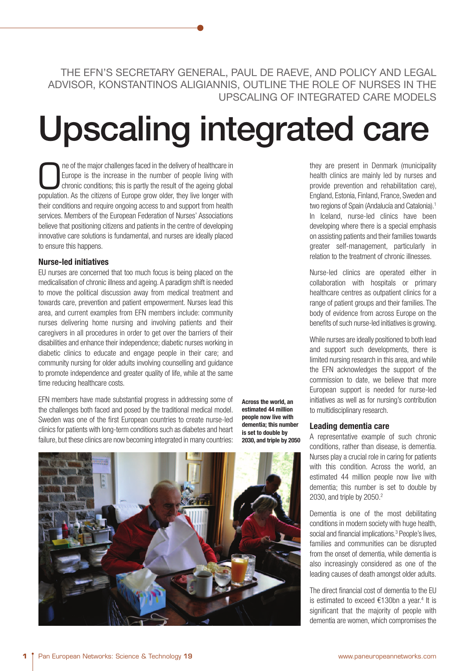THE EFN'S SECRETARY GENERAL, PAUL DE RAEVE, AND POLICY AND LEGAL ADVISOR, KONSTANTINOS ALIGIANNIS, OUTLINE THE ROLE OF NURSES IN THE UPSCALING OF INTEGRATED CARE MODELS

# **Upscaling integrated care**

The of the major challenges faced in the delivery of healthcare in Europe is the increase in the number of people living with chronic conditions; this is partly the result of the ageing global population. As the citizens o Europe is the increase in the number of people living with chronic conditions; this is partly the result of the ageing global population. As the citizens of Europe grow older, they live longer with their conditions and require ongoing access to and support from health services. Members of the European Federation of Nurses' Associations believe that positioning citizens and patients in the centre of developing innovative care solutions is fundamental, and nurses are ideally placed to ensure this happens.

# **Nurse-led initiatives**

EU nurses are concerned that too much focus is being placed on the medicalisation of chronic illness and ageing. A paradigm shift is needed to move the political discussion away from medical treatment and towards care, prevention and patient empowerment. Nurses lead this area, and current examples from EFN members include: community nurses delivering home nursing and involving patients and their caregivers in all procedures in order to get over the barriers of their disabilities and enhance their independence; diabetic nurses working in diabetic clinics to educate and engage people in their care; and community nursing for older adults involving counselling and guidance to promote independence and greater quality of life, while at the same time reducing healthcare costs.

EFN members have made substantial progress in addressing some of the challenges both faced and posed by the traditional medical model. Sweden was one of the first European countries to create nurse-led clinics for patients with long-term conditions such as diabetes and heart failure, but these clinics are now becoming integrated in many countries:

**Across the world, an estimated 44 million people now live with dementia; this number is set to double by 2030, and triple by 2050**



they are present in Denmark (municipality health clinics are mainly led by nurses and provide prevention and rehabilitation care), England, Estonia, Finland, France, Sweden and two regions of Spain (Andalucía and Catalonia).<sup>1</sup> In Iceland, nurse-led clinics have been developing where there is a special emphasis on assisting patients and their families towards greater self-management, particularly in relation to the treatment of chronic illnesses.

Nurse-led clinics are operated either in collaboration with hospitals or primary healthcare centres as outpatient clinics for a range of patient groups and their families. The body of evidence from across Europe on the benefits of such nurse-led initiatives is growing.

While nurses are ideally positioned to both lead and support such developments, there is limited nursing research in this area, and while the EFN acknowledges the support of the commission to date, we believe that more European support is needed for nurse-led initiatives as well as for nursing's contribution to multidisciplinary research.

# **Leading dementia care**

A representative example of such chronic conditions, rather than disease, is dementia. Nurses play a crucial role in caring for patients with this condition. Across the world, an estimated 44 million people now live with dementia; this number is set to double by 2030, and triple by 2050.2

Dementia is one of the most debilitating conditions in modern society with huge health, social and financial implications.<sup>3</sup> People's lives, families and communities can be disrupted from the onset of dementia, while dementia is also increasingly considered as one of the leading causes of death amongst older adults.

The direct financial cost of dementia to the EU is estimated to exceed €130bn a year.<sup>4</sup> It is significant that the majority of people with dementia are women, which compromises the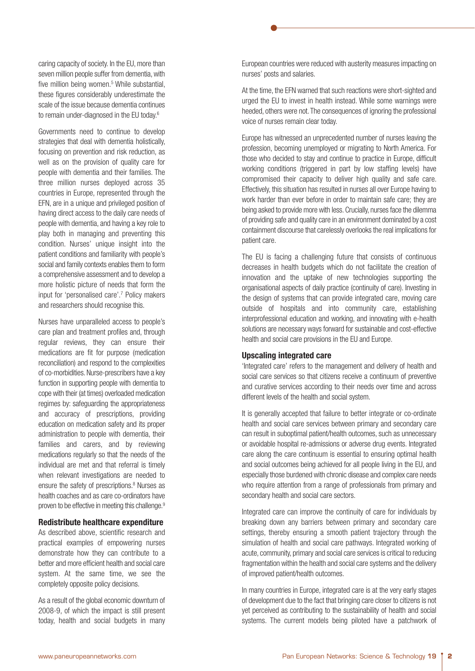caring capacity of society. In the EU, more than seven million people suffer from dementia, with five million being women.<sup>5</sup> While substantial, these figures considerably underestimate the scale of the issue because dementia continues to remain under-diagnosed in the EU today.6

Governments need to continue to develop strategies that deal with dementia holistically, focusing on prevention and risk reduction, as well as on the provision of quality care for people with dementia and their families. The three million nurses deployed across 35 countries in Europe, represented through the EFN, are in a unique and privileged position of having direct access to the daily care needs of people with dementia, and having a key role to play both in managing and preventing this condition. Nurses' unique insight into the patient conditions and familiarity with people's social and family contexts enables them to form a comprehensive assessment and to develop a more holistic picture of needs that form the input for 'personalised care'.7 Policy makers and researchers should recognise this.

Nurses have unparalleled access to people's care plan and treatment profiles and, through regular reviews, they can ensure their medications are fit for purpose (medication reconciliation) and respond to the complexities of co-morbidities. Nurse-prescribers have a key function in supporting people with dementia to cope with their (at times) overloaded medication regimes by: safeguarding the appropriateness and accuracy of prescriptions, providing education on medication safety and its proper administration to people with dementia, their families and carers, and by reviewing medications regularly so that the needs of the individual are met and that referral is timely when relevant investigations are needed to ensure the safety of prescriptions.8 Nurses as health coaches and as care co-ordinators have proven to be effective in meeting this challenge.<sup>9</sup>

### **Redistribute healthcare expenditure**

As described above, scientific research and practical examples of empowering nurses demonstrate how they can contribute to a better and more efficient health and social care system. At the same time, we see the completely opposite policy decisions.

As a result of the global economic downturn of 2008-9, of which the impact is still present today, health and social budgets in many

European countries were reduced with austerity measures impacting on nurses' posts and salaries.

At the time, the EFN warned that such reactions were short-sighted and urged the EU to invest in health instead. While some warnings were heeded, others were not. The consequences of ignoring the professional voice of nurses remain clear today.

Europe has witnessed an unprecedented number of nurses leaving the profession, becoming unemployed or migrating to North America. For those who decided to stay and continue to practice in Europe, difficult working conditions (triggered in part by low staffing levels) have compromised their capacity to deliver high quality and safe care. Effectively, this situation has resulted in nurses all over Europe having to work harder than ever before in order to maintain safe care; they are being asked to provide more with less. Crucially, nurses face the dilemma of providing safe and quality care in an environment dominated by a cost containment discourse that carelessly overlooks the real implications for patient care.

The EU is facing a challenging future that consists of continuous decreases in health budgets which do not facilitate the creation of innovation and the uptake of new technologies supporting the organisational aspects of daily practice (continuity of care). Investing in the design of systems that can provide integrated care, moving care outside of hospitals and into community care, establishing interprofessional education and working, and innovating with e-health solutions are necessary ways forward for sustainable and cost-effective health and social care provisions in the EU and Europe.

# **Upscaling integrated care**

'Integrated care' refers to the management and delivery of health and social care services so that citizens receive a continuum of preventive and curative services according to their needs over time and across different levels of the health and social system.

It is generally accepted that failure to better integrate or co-ordinate health and social care services between primary and secondary care can result in suboptimal patient/health outcomes, such as unnecessary or avoidable hospital re-admissions or adverse drug events. Integrated care along the care continuum is essential to ensuring optimal health and social outcomes being achieved for all people living in the EU, and especially those burdened with chronic disease and complex care needs who require attention from a range of professionals from primary and secondary health and social care sectors.

Integrated care can improve the continuity of care for individuals by breaking down any barriers between primary and secondary care settings, thereby ensuring a smooth patient trajectory through the simulation of health and social care pathways. Integrated working of acute, community, primary and social care services is critical to reducing fragmentation within the health and social care systems and the delivery of improved patient/health outcomes.

In many countries in Europe, integrated care is at the very early stages of development due to the fact that bringing care closer to citizens is not yet perceived as contributing to the sustainability of health and social systems. The current models being piloted have a patchwork of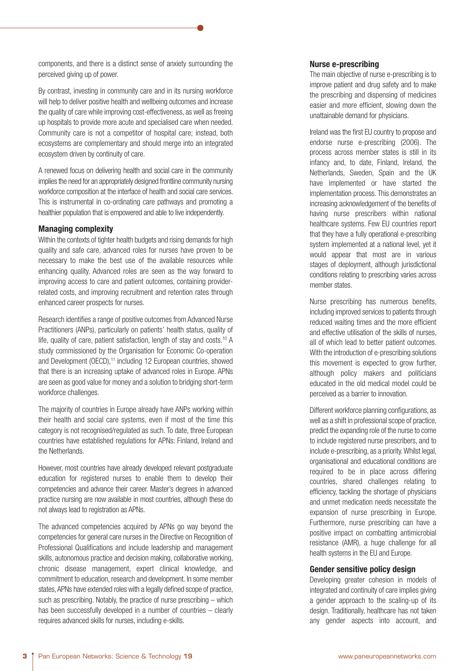components, and there is a distinct sense of anxiety surrounding the perceived giving up of power.

By contrast, investing in community care and in its nursing workforce will help to deliver positive health and wellbeing outcomes and increase the quality of care while improving cost-effectiveness, as well as freeing up hospitals to provide more acute and specialised care when needed. Community care is not a competitor of hospital care; instead, both ecosystems are complementary and should merge into an integrated ecosystem driven by continuity of care.

A renewed focus on delivering health and social care in the community implies the need for an appropriately designed frontline community nursing workforce composition at the interface of health and social care services. This is instrumental in co-ordinating care pathways and promoting a healthier population that is empowered and able to live independently.

# **Managing complexity**

Within the contexts of tighter health budgets and rising demands for high quality and safe care, advanced roles for nurses have proven to be necessary to make the best use of the available resources while enhancing quality. Advanced roles are seen as the way forward to improving access to care and patient outcomes, containing providerrelated costs, and improving recruitment and retention rates through enhanced career prospects for nurses.

Research identifies a range of positive outcomes from Advanced Nurse Practitioners (ANPs), particularly on patients' health status, quality of life, quality of care, patient satisfaction, length of stay and costs.<sup>10</sup> A study commissioned by the Organisation for Economic Co-operation and Development (OECD),<sup>11</sup> including 12 European countries, showed that there is an increasing uptake of advanced roles in Europe. APNs are seen as good value for money and a solution to bridging short-term workforce challenges.

The majority of countries in Europe already have ANPs working within their health and social care systems, even if most of the time this category is not recognised/regulated as such. To date, three European countries have established regulations for APNs: Finland, Ireland and the Netherlands.

However, most countries have already developed relevant postgraduate education for registered nurses to enable them to develop their competencies and advance their career. Master's degrees in advanced practice nursing are now available in most countries, although these do not always lead to registration as APNs.

The advanced competencies acquired by APNs go way beyond the competencies for general care nurses in the Directive on Recognition of Professional Qualifications and include leadership and management skills, autonomous practice and decision making, collaborative working, chronic disease management, expert clinical knowledge, and commitment to education, research and development. In some member states, APNs have extended roles with a legally defined scope of practice, such as prescribing. Notably, the practice of nurse prescribing – which has been successfully developed in a number of countries – clearly requires advanced skills for nurses, including e-skills.

# **Nurse e-prescribing**

The main objective of nurse e-prescribing is to improve patient and drug safety and to make the prescribing and dispensing of medicines easier and more efficient, slowing down the unattainable demand for physicians.

Ireland was the first EU country to propose and endorse nurse e-prescribing (2006). The process across member states is still in its infancy and, to date, Finland, Ireland, the Netherlands, Sweden, Spain and the UK have implemented or have started the implementation process. This demonstrates an increasing acknowledgement of the benefits of having nurse prescribers within national healthcare systems. Few EU countries report that they have a fully operational e-prescribing system implemented at a national level, yet it would appear that most are in various stages of deployment, although jurisdictional conditions relating to prescribing varies across member states.

Nurse prescribing has numerous benefits, including improved services to patients through reduced waiting times and the more efficient and effective utilisation of the skills of nurses, all of which lead to better patient outcomes. With the introduction of e-prescribing solutions this movement is expected to grow further, although policy makers and politicians educated in the old medical model could be perceived as a barrier to innovation.

Different workforce planning configurations, as well as a shift in professional scope of practice, predict the expanding role of the nurse to come to include registered nurse prescribers, and to include e-prescribing, as a priority. Whilst legal, organisational and educational conditions are required to be in place across differing countries, shared challenges relating to efficiency, tackling the shortage of physicians and unmet medication needs necessitate the expansion of nurse prescribing in Europe. Furthermore, nurse prescribing can have a positive impact on combatting antimicrobial resistance (AMR), a huge challenge for all health systems in the EU and Europe.

### **Gender sensitive policy design**

Developing greater cohesion in models of integrated and continuity of care implies giving a gender approach to the scaling-up of its design. Traditionally, healthcare has not taken any gender aspects into account, and